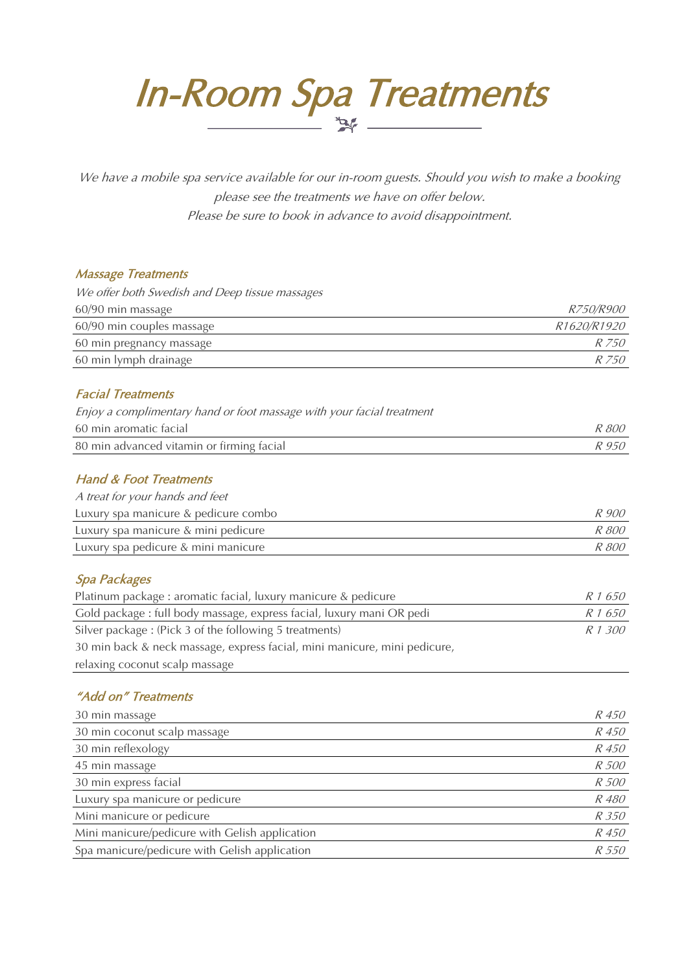In-Room Spa Treatments

We have a mobile spa service available for our in-room guests. Should you wish to make a booking please see the treatments we have on offer below. Please be sure to book in advance to avoid disappointment.

#### Massage Treatments

| We offer both Swedish and Deep tissue massages |                  |
|------------------------------------------------|------------------|
| 60/90 min massage                              | <i>R750/R900</i> |
| 60/90 min couples massage                      | R1620/R1920      |
| 60 min pregnancy massage                       | R 750            |
| 60 min lymph drainage                          | R 750            |

# Facial Treatments

| Enjoy a complimentary hand or foot massage with your facial treatment |              |
|-----------------------------------------------------------------------|--------------|
| 60 min aromatic facial                                                | <i>R 800</i> |
| 80 min advanced vitamin or firming facial                             | R 950        |

## Hand & Foot Treatments

| A treat for your hands and feet      |              |
|--------------------------------------|--------------|
| Luxury spa manicure & pedicure combo | R 900        |
| Luxury spa manicure & mini pedicure  | R 800        |
| Luxury spa pedicure & mini manicure  | <i>R 800</i> |
|                                      |              |

# Spa Packages

| Platinum package: aromatic facial, luxury manicure & pedicure             | R 1 650 |
|---------------------------------------------------------------------------|---------|
| Gold package : full body massage, express facial, luxury mani OR pedi     | R 1 650 |
| Silver package: (Pick 3 of the following 5 treatments)                    | R 1 300 |
| 30 min back & neck massage, express facial, mini manicure, mini pedicure, |         |
| relaxing coconut scalp massage                                            |         |

# "Add on" Treatments

| 30 min massage                                 | <i>R</i> 450 |
|------------------------------------------------|--------------|
| 30 min coconut scalp massage                   | R 450        |
| 30 min reflexology                             | R 450        |
| 45 min massage                                 | R 500        |
| 30 min express facial                          | R 500        |
| Luxury spa manicure or pedicure                | R 480        |
| Mini manicure or pedicure                      | R 350        |
| Mini manicure/pedicure with Gelish application | R 450        |
| Spa manicure/pedicure with Gelish application  | <i>R</i> 550 |